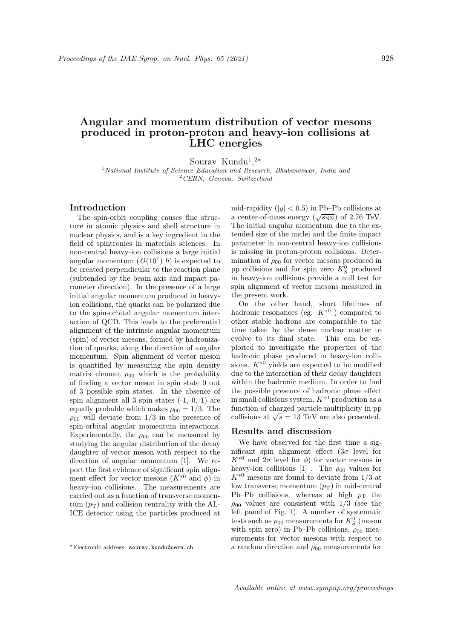# Angular and momentum distribution of vector mesons produced in proton-proton and heavy-ion collisions at LHC energies

Sourav Kundu<sup>1</sup>,<sup>2\*</sup>

<sup>1</sup> National Institute of Science Education and Research, Bhubaneswar, India and  $^{2}CERN$ , Geneva, Switzerland

## Introduction

The spin-orbit coupling causes fine structure in atomic physics and shell structure in nuclear physics, and is a key ingredient in the field of spintronics in materials sciences. In non-central heavy-ion collisions a large initial angular momentum  $(O(10^7)~\hbar)$  is expected to be created perpendicular to the reaction plane (subtended by the beam axis and impact parameter direction). In the presence of a large initial angular momentum produced in heavyion collisions, the quarks can be polarized due to the spin-orbital angular momentum interaction of QCD. This leads to the preferential alignment of the intrinsic angular momentum (spin) of vector mesons, formed by hadronization of quarks, along the direction of angular momentum. Spin alignment of vector meson is quantified by measuring the spin density matrix element  $\rho_{00}$  which is the probability of finding a vector meson in spin state 0 out of 3 possible spin states. In the absence of spin alignment all 3 spin states (-1, 0, 1) are equally probable which makes  $\rho_{00} = 1/3$ . The  $\rho_{00}$  will deviate from 1/3 in the presence of spin-orbital angular momentum interactions. Experimentally, the  $\rho_{00}$  can be measured by studying the angular distribution of the decay daughter of vector meson with respect to the direction of angular momentum [1]. We report the first evidence of significant spin alignment effect for vector mesons  $(K^{*0} \text{ and } \phi)$  in heavy-ion collisions. The measurements are carried out as a function of transverse momentum  $(p_T)$  and collision centrality with the AL-ICE detector using the particles produced at

mid-rapidity ( $|y| < 0.5$ ) in Pb–Pb collisions at a center-of-mass energy  $(\sqrt{s_{NN}})$  of 2.76 TeV. The initial angular momentum due to the extended size of the nuclei and the finite impact parameter in non-central heavy-ion collisions is missing in proton-proton collisions. Determination of  $\rho_{00}$  for vector mesons produced in pp collisions and for spin zero  $K_S^0$  produced in heavy-ion collisions provide a null test for spin alignment of vector mesons measured in the present work.

On the other hand, short lifetimes of hadronic resonances (eg.  $K^{*0}$ ) compared to other stable hadrons are comparable to the time taken by the dense nuclear matter to evolve to its final state. This can be exploited to investigate the properties of the hadronic phase produced in heavy-ion collisions.  $K^{*0}$  yields are expected to be modified due to the interaction of their decay daughters within the hadronic medium. In order to find the possible presence of hadronic phase effect in small collisions system,  $K^{*0}$  production as a function of charged particle multiplicity in pp runction of charged particle multiplicity in p<br>collisions at  $\sqrt{s} = 13$  TeV are also presented.

# Results and discussion

We have observed for the first time a significant spin alignment effect  $(3\sigma$  level for  $K^{*0}$  and  $2\sigma$  level for  $\phi$ ) for vector mesons in heavy-ion collisions  $[1]$ . The  $\rho_{00}$  values for  $K^{*0}$  mesons are found to deviate from 1/3 at low transverse momentum  $(p_T)$  in mid-central Pb–Pb collisions, whereas at high  $p_T$  the  $\rho_{00}$  values are consistent with 1/3 (see the left panel of Fig. 1). A number of systematic tests such as  $\rho_{00}$  measurements for  $K^0_S$  (meson with spin zero) in Pb–Pb collisions,  $\rho_{00}$  measurements for vector mesons with respect to a random direction and  $\rho_{00}$  measurements for

<sup>∗</sup>Electronic address: sourav.kundu@cern.ch